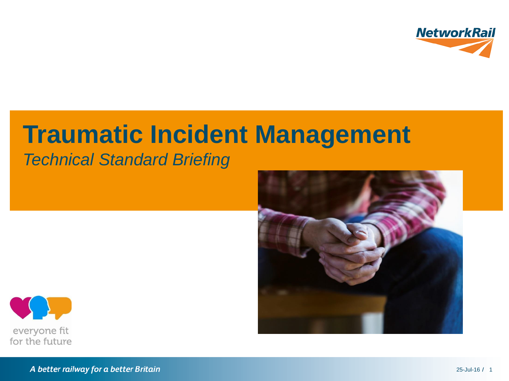

# **Traumatic Incident Management**

### *Technical Standard Briefing*





A better railway for a better Britain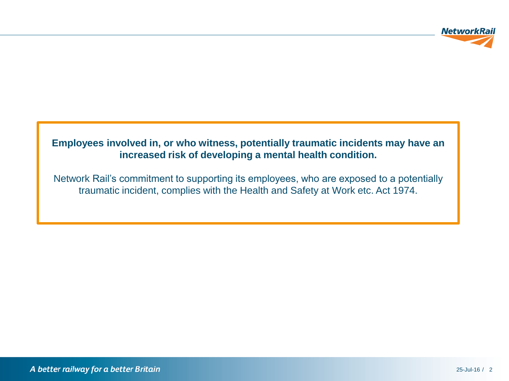

#### **Employees involved in, or who witness, potentially traumatic incidents may have an increased risk of developing a mental health condition.**

Network Rail's commitment to supporting its employees, who are exposed to a potentially traumatic incident, complies with the Health and Safety at Work etc. Act 1974.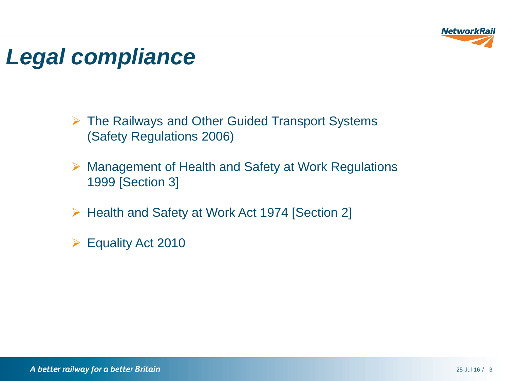

### *Legal compliance*

- The Railways and Other Guided Transport Systems (Safety Regulations 2006)
- Management of Health and Safety at Work Regulations 1999 [Section 3]
- ▶ Health and Safety at Work Act 1974 [Section 2]
- Equality Act 2010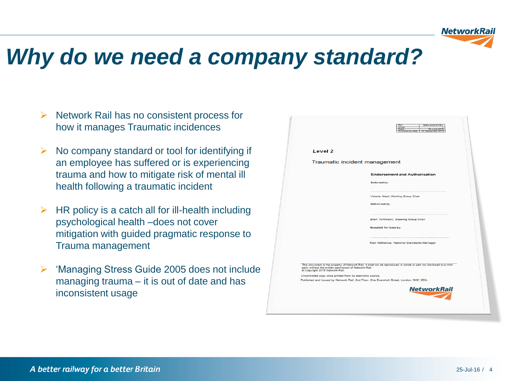

### *Why do we need a company standard?*

- $\triangleright$  Network Rail has no consistent process for how it manages Traumatic incidences
- $\triangleright$  No company standard or tool for identifying if an employee has suffered or is experiencing trauma and how to mitigate risk of mental ill health following a traumatic incident
- HR policy is a catch all for ill-health including psychological health –does not cover mitigation with guided pragmatic response to Trauma management
- 'Managing Stress Guide 2005 does not include managing trauma – it is out of date and has inconsistent usage

|                                | Ref.<br><b>NR/L2/OH S/TBC</b><br>1550<br>Date<br>35 June 2016<br>Compliance date:<br>03 September 2016                                                                                                                                     |
|--------------------------------|--------------------------------------------------------------------------------------------------------------------------------------------------------------------------------------------------------------------------------------------|
| Level 2                        |                                                                                                                                                                                                                                            |
|                                | Traumatic incident management                                                                                                                                                                                                              |
|                                | <b>Endorsement and Authorisation</b>                                                                                                                                                                                                       |
|                                | <b>Endorsed by:</b>                                                                                                                                                                                                                        |
|                                | Victoria Ward, Working Group Chair                                                                                                                                                                                                         |
|                                | <b>Authorised by:</b>                                                                                                                                                                                                                      |
|                                |                                                                                                                                                                                                                                            |
|                                | Brian Tomlinson, Steering Group Chair                                                                                                                                                                                                      |
|                                | Accepted for issue by:                                                                                                                                                                                                                     |
|                                | Mick McManus, National Standards Manager                                                                                                                                                                                                   |
| @ Copyright 2016 Network Rail. | This document is the property of Network Rail. It shall not be reproduced in whole or part nor disclosed to a third<br>party without the written permission of Network Rail.<br>Uncontrolled copy once printed from its electronic source. |
|                                | Published and Issued by Network Rail, 2nd Floor, One Eversholt Street, London, NW1 2DN.                                                                                                                                                    |
|                                | <b>NetworkRail</b>                                                                                                                                                                                                                         |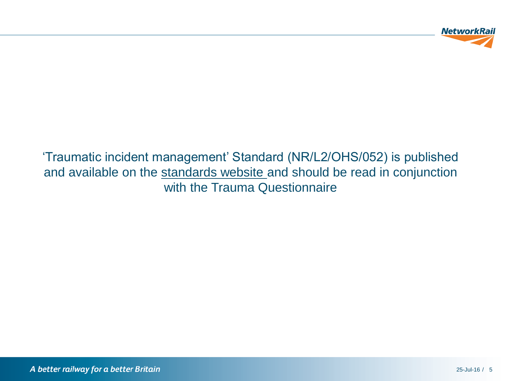

'Traumatic incident management' Standard (NR/L2/OHS/052) is published and available on the [standards website a](http://networkrailstandards/BSI/Search.aspx?ref=stress)nd should be read in conjunction with the Trauma Questionnaire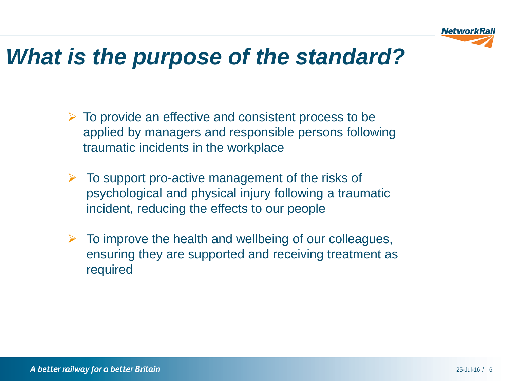

### *What is the purpose of the standard?*

- $\triangleright$  To provide an effective and consistent process to be applied by managers and responsible persons following traumatic incidents in the workplace
- $\triangleright$  To support pro-active management of the risks of psychological and physical injury following a traumatic incident, reducing the effects to our people
- $\triangleright$  To improve the health and wellbeing of our colleagues, ensuring they are supported and receiving treatment as required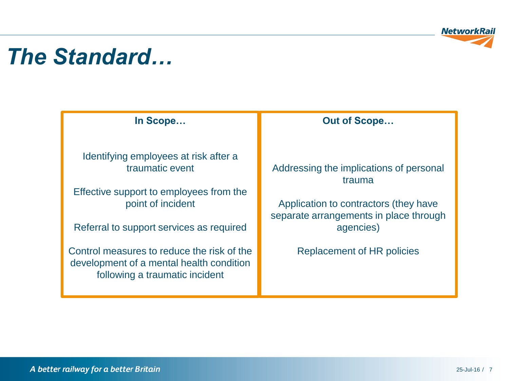

### *The Standard…*

**In Scope…**

Identifying employees at risk after a traumatic event

Effective support to employees from the point of incident

Referral to support services as required

Control measures to reduce the risk of the development of a mental health condition following a traumatic incident

#### **Out of Scope…**

Addressing the implications of personal trauma

Application to contractors (they have separate arrangements in place through agencies)

Replacement of HR policies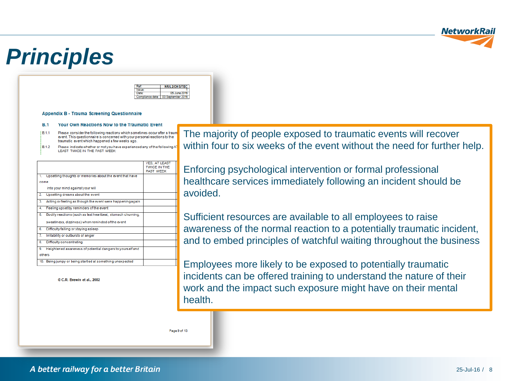

### *Principles*

|              | <b>OH S/TRC</b> |
|--------------|-----------------|
|              |                 |
|              |                 |
| <b>tance</b> | 72.             |

Appendix B - Trauma Screening Questionnaire

#### **B** 1 Your Own Reactions Now to the Traumatic Event

- Please consider the following reactions which sometimes occur after a traun  $1811$ event. This questionnaire is concerned with your personal reactions to the traumatic event which happened a few weeks ago.
- **B12** Please indicate whether or not you have experienced any of the following A LEAST TWICE IN THE PAST WEEK:

|        |                                                             | <b>YES. AT LEAST</b><br>TWICE IN THE<br><b>PAST WEEK</b> |
|--------|-------------------------------------------------------------|----------------------------------------------------------|
| 1.     | Upsetting thoughts or memories about the event that have    |                                                          |
| come   |                                                             |                                                          |
|        | into your mind against your will                            |                                                          |
| 2.     | Upsetting dreams about the event                            |                                                          |
| 3.     | Acting or feeling as though the event were happening again  |                                                          |
| 4.     | Feeling upset by reminders of the event                     |                                                          |
| 5.     | Bodily reactions (such as fast heartbeat, stomach churning, |                                                          |
|        | sweatiness, dizziness) when reminded of the event           |                                                          |
| 6.     | Difficulty falling or staying asleep                        |                                                          |
| 7.     | Irritability or outbursts of anger                          |                                                          |
| 8.     | Difficulty concentrating                                    |                                                          |
| 9.     | Heightened awareness of potential dangers to yourself and   |                                                          |
| others |                                                             |                                                          |
|        | 10. Being jumpy or being startled at something unexpected   |                                                          |

© C.R. Brewin et al., 2002

The majority of people exposed to traumatic events will recover within four to six weeks of the event without the need for further help.

Enforcing psychological intervention or formal professional healthcare services immediately following an incident should be avoided.

Sufficient resources are available to all employees to raise awareness of the normal reaction to a potentially traumatic incident, and to embed principles of watchful waiting throughout the business

Employees more likely to be exposed to potentially traumatic incidents can be offered training to understand the nature of their work and the impact such exposure might have on their mental health.

Page 9 of 13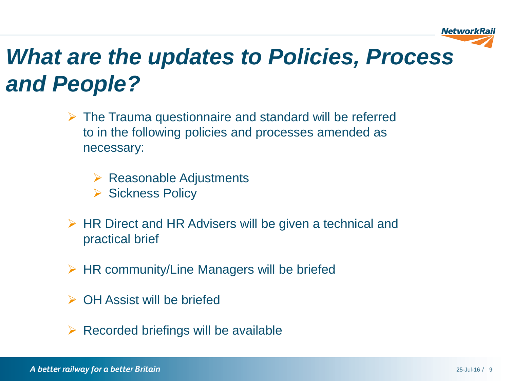

## *What are the updates to Policies, Process and People?*

- $\triangleright$  The Trauma questionnaire and standard will be referred to in the following policies and processes amended as necessary:
	- $\triangleright$  Reasonable Adjustments
	- ▶ Sickness Policy
- $\triangleright$  HR Direct and HR Advisers will be given a technical and practical brief
- $\triangleright$  HR community/Line Managers will be briefed
- $\triangleright$  OH Assist will be briefed
- Recorded briefings will be available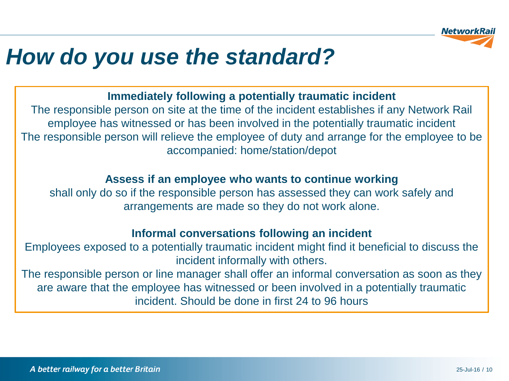

### *How do you use the standard?*

#### **Immediately following a potentially traumatic incident**

The responsible person on site at the time of the incident establishes if any Network Rail employee has witnessed or has been involved in the potentially traumatic incident The responsible person will relieve the employee of duty and arrange for the employee to be accompanied: home/station/depot

#### **Assess if an employee who wants to continue working**

shall only do so if the responsible person has assessed they can work safely and arrangements are made so they do not work alone.

#### **Informal conversations following an incident**

Employees exposed to a potentially traumatic incident might find it beneficial to discuss the incident informally with others.

The responsible person or line manager shall offer an informal conversation as soon as they are aware that the employee has witnessed or been involved in a potentially traumatic incident. Should be done in first 24 to 96 hours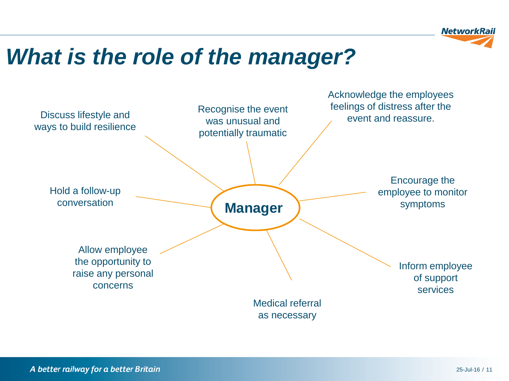

### *What is the role of the manager?*

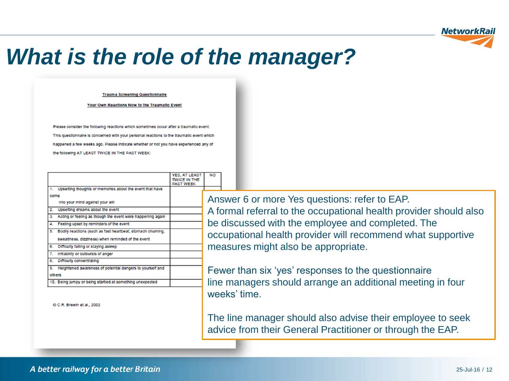

### *What is the role of the manager?*

**Trauma Screening Questionnaire** 

Your Own Reactions Now to the Traumatic Event

Please consider the following reactions which sometimes occur after a traumatic event. This questionnaire is concerned with your personal reactions to the traumatic event which happened a few weeks ago. Please Indicate whether or not you have experienced any of the following AT LEAST TWICE IN THE PAST WEEK:

|                  |                                                            | <b>YES, AT LEAST</b> |
|------------------|------------------------------------------------------------|----------------------|
|                  |                                                            | <b>TWICE IN THE</b>  |
|                  |                                                            | <b>PAST WEEK</b>     |
| 1.               | Upsetting thoughts or memories about the event that have   |                      |
| come             |                                                            |                      |
|                  | into your mind against your will                           |                      |
| $\overline{2}$ . | Upsetting dreams about the event                           |                      |
| З.               | Acting or feeling as though the event were happening again |                      |
| 4.               | Feeling upset by reminders of the event                    |                      |
| 5.               | Bodily reactions (such as fast heartbeat, stomach chuming, |                      |
|                  | sweatiness, dizziness) when reminded of the event          |                      |
| 6.               | Difficulty failing or staying asleep                       |                      |
| 7.               | Irritability or outbursts of anger                         |                      |
| 8.               | Difficulty concentrating                                   |                      |
| 9.               | Heightened awareness of potential dangers to yourself and  |                      |
|                  | others                                                     |                      |
|                  | 10. Being jumpy or being startled at something unexpected  |                      |
|                  |                                                            |                      |

C.R. Brewin et al., 2002

Answer 6 or more Yes questions: refer to EAP. A formal referral to the occupational health provider should also be discussed with the employee and completed. The occupational health provider will recommend what supportive measures might also be appropriate.

Fewer than six 'yes' responses to the questionnaire line managers should arrange an additional meeting in four weeks' time.

The line manager should also advise their employee to seek advice from their General Practitioner or through the EAP.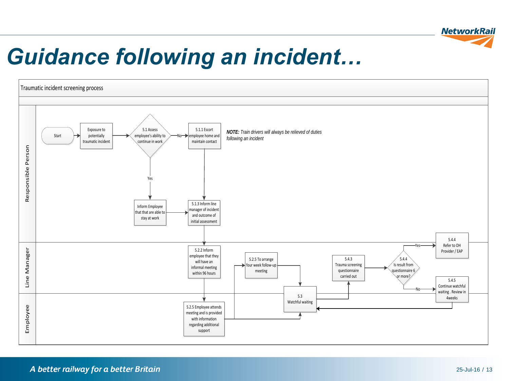

### *Guidance following an incident…*

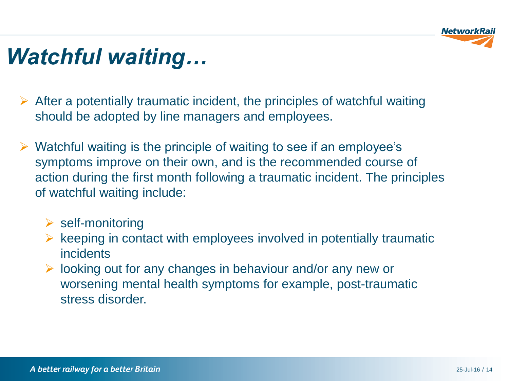

### *Watchful waiting…*

- $\triangleright$  After a potentially traumatic incident, the principles of watchful waiting should be adopted by line managers and employees.
- $\triangleright$  Watchful waiting is the principle of waiting to see if an employee's symptoms improve on their own, and is the recommended course of action during the first month following a traumatic incident. The principles of watchful waiting include:
	- $\triangleright$  self-monitoring
	- $\triangleright$  keeping in contact with employees involved in potentially traumatic incidents
	- $\triangleright$  looking out for any changes in behaviour and/or any new or worsening mental health symptoms for example, post-traumatic stress disorder.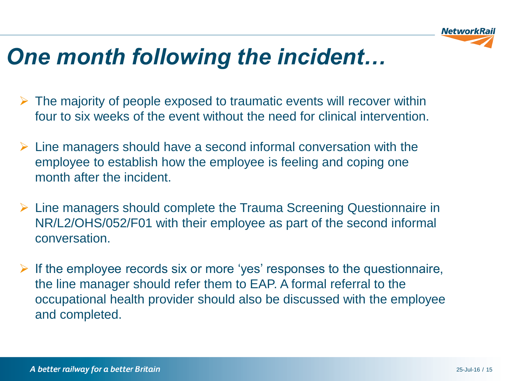

### *One month following the incident…*

- $\triangleright$  The majority of people exposed to traumatic events will recover within four to six weeks of the event without the need for clinical intervention.
- $\triangleright$  Line managers should have a second informal conversation with the employee to establish how the employee is feeling and coping one month after the incident.
- $\triangleright$  Line managers should complete the Trauma Screening Questionnaire in NR/L2/OHS/052/F01 with their employee as part of the second informal conversation.
- $\triangleright$  If the employee records six or more 'yes' responses to the questionnaire, the line manager should refer them to EAP. A formal referral to the occupational health provider should also be discussed with the employee and completed.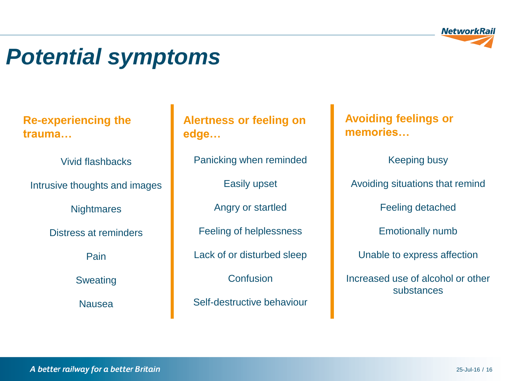

### *Potential symptoms*

**Re-experiencing the trauma…**

Vivid flashbacks

Intrusive thoughts and images

**Nightmares** 

Distress at reminders

Pain

Sweating

Nausea

**Alertness or feeling on edge…**

Panicking when reminded

Easily upset

Angry or startled

Feeling of helplessness

Lack of or disturbed sleep

**Confusion** 

Self-destructive behaviour

**Avoiding feelings or memories…**

Keeping busy

Avoiding situations that remind

Feeling detached

Emotionally numb

Unable to express affection

Increased use of alcohol or other substances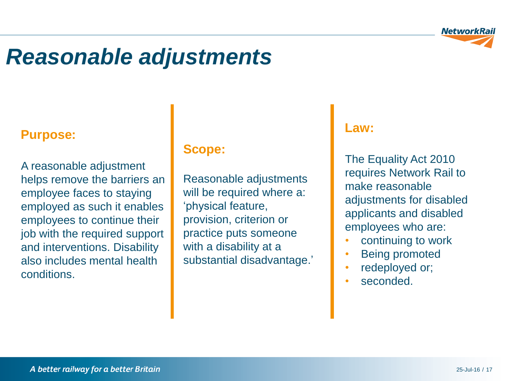

### *Reasonable adjustments*

### **Purpose:**

A reasonable adjustment helps remove the barriers an employee faces to staying employed as such it enables employees to continue their job with the required support and interventions. Disability also includes mental health conditions.

#### **Scope:**

Reasonable adjustments will be required where a: 'physical feature, provision, criterion or practice puts someone with a disability at a substantial disadvantage.'

#### **Law:**

The Equality Act 2010 requires Network Rail to make reasonable adjustments for disabled applicants and disabled employees who are:

- continuing to work
- Being promoted
- redeployed or;
- seconded.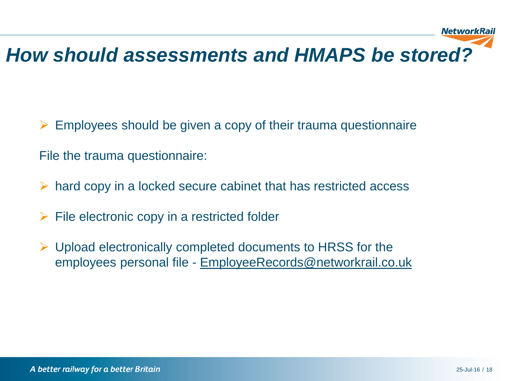### *How should assessments and HMAPS be stored?*

 $\triangleright$  Employees should be given a copy of their trauma questionnaire

File the trauma questionnaire:

- $\triangleright$  hard copy in a locked secure cabinet that has restricted access
- $\triangleright$  File electronic copy in a restricted folder
- $\triangleright$  Upload electronically completed documents to HRSS for the employees personal file - [EmployeeRecords@networkrail.co.uk](mailto:-EmployeeRecords@networkrail.co.uk)

NetworkRail